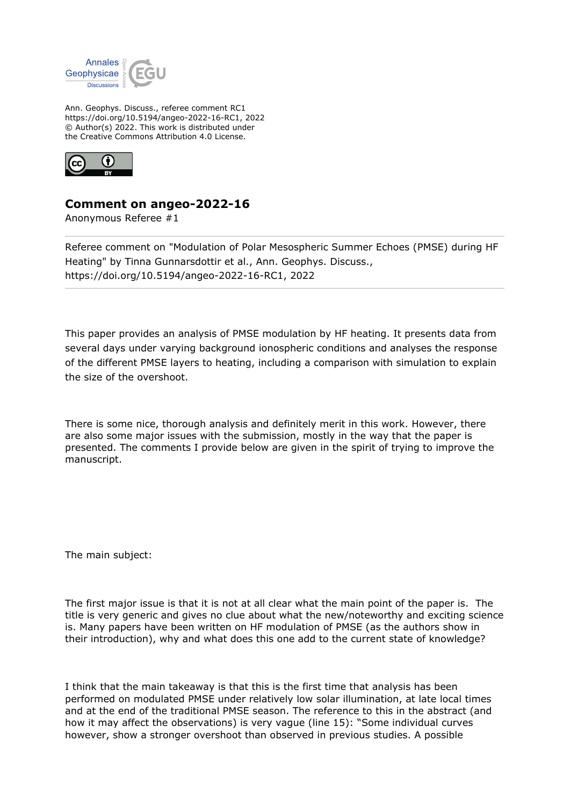

Ann. Geophys. Discuss., referee comment RC1 https://doi.org/10.5194/angeo-2022-16-RC1, 2022 © Author(s) 2022. This work is distributed under the Creative Commons Attribution 4.0 License.



## **Comment on angeo-2022-16**

Anonymous Referee #1

Referee comment on "Modulation of Polar Mesospheric Summer Echoes (PMSE) during HF Heating" by Tinna Gunnarsdottir et al., Ann. Geophys. Discuss., https://doi.org/10.5194/angeo-2022-16-RC1, 2022

This paper provides an analysis of PMSE modulation by HF heating. It presents data from several days under varying background ionospheric conditions and analyses the response of the different PMSE layers to heating, including a comparison with simulation to explain the size of the overshoot.

There is some nice, thorough analysis and definitely merit in this work. However, there are also some major issues with the submission, mostly in the way that the paper is presented. The comments I provide below are given in the spirit of trying to improve the manuscript.

The main subject:

The first major issue is that it is not at all clear what the main point of the paper is. The title is very generic and gives no clue about what the new/noteworthy and exciting science is. Many papers have been written on HF modulation of PMSE (as the authors show in their introduction), why and what does this one add to the current state of knowledge?

I think that the main takeaway is that this is the first time that analysis has been performed on modulated PMSE under relatively low solar illumination, at late local times and at the end of the traditional PMSE season. The reference to this in the abstract (and how it may affect the observations) is very vague (line 15): "Some individual curves however, show a stronger overshoot than observed in previous studies. A possible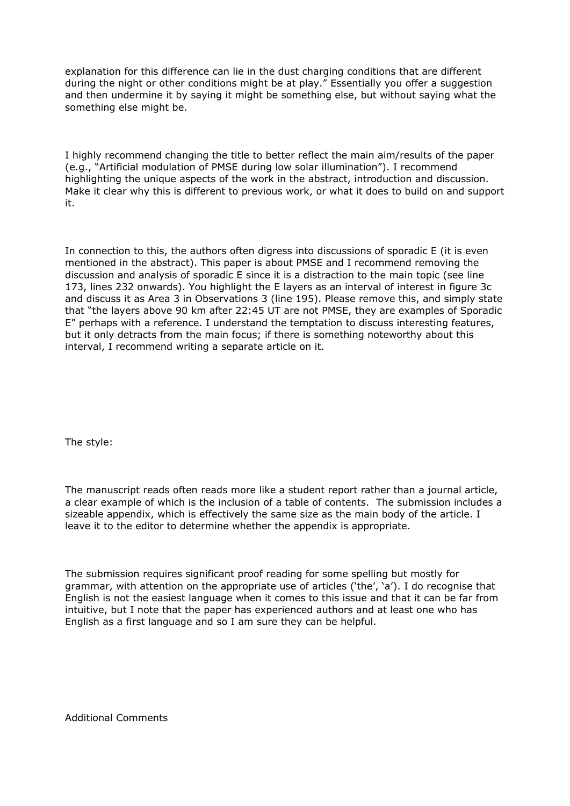explanation for this difference can lie in the dust charging conditions that are different during the night or other conditions might be at play." Essentially you offer a suggestion and then undermine it by saying it might be something else, but without saying what the something else might be.

I highly recommend changing the title to better reflect the main aim/results of the paper (e.g., "Artificial modulation of PMSE during low solar illumination"). I recommend highlighting the unique aspects of the work in the abstract, introduction and discussion. Make it clear why this is different to previous work, or what it does to build on and support it.

In connection to this, the authors often digress into discussions of sporadic E (it is even mentioned in the abstract). This paper is about PMSE and I recommend removing the discussion and analysis of sporadic E since it is a distraction to the main topic (see line 173, lines 232 onwards). You highlight the E layers as an interval of interest in figure 3c and discuss it as Area 3 in Observations 3 (line 195). Please remove this, and simply state that "the layers above 90 km after 22:45 UT are not PMSE, they are examples of Sporadic E" perhaps with a reference. I understand the temptation to discuss interesting features, but it only detracts from the main focus; if there is something noteworthy about this interval, I recommend writing a separate article on it.

The style:

The manuscript reads often reads more like a student report rather than a journal article, a clear example of which is the inclusion of a table of contents. The submission includes a sizeable appendix, which is effectively the same size as the main body of the article. I leave it to the editor to determine whether the appendix is appropriate.

The submission requires significant proof reading for some spelling but mostly for grammar, with attention on the appropriate use of articles ('the', 'a'). I do recognise that English is not the easiest language when it comes to this issue and that it can be far from intuitive, but I note that the paper has experienced authors and at least one who has English as a first language and so I am sure they can be helpful.

Additional Comments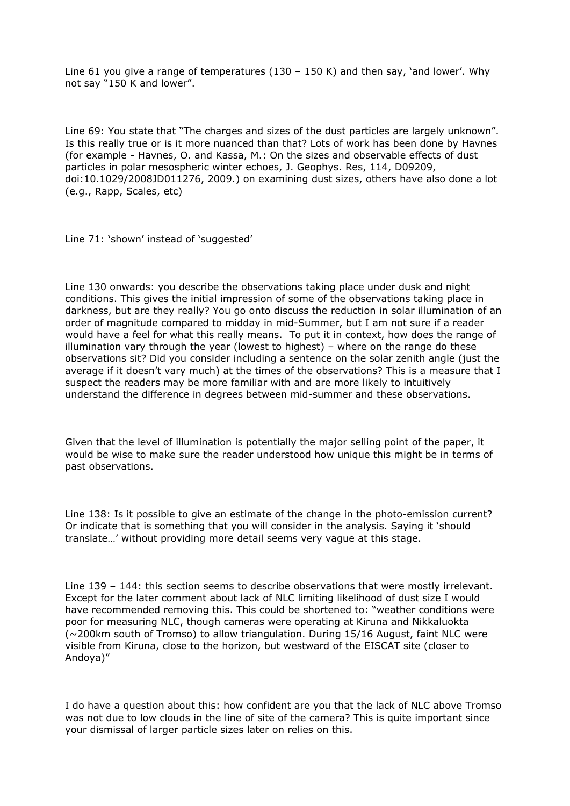Line 61 you give a range of temperatures (130 – 150 K) and then say, 'and lower'. Why not say "150 K and lower".

Line 69: You state that "The charges and sizes of the dust particles are largely unknown". Is this really true or is it more nuanced than that? Lots of work has been done by Havnes (for example - Havnes, O. and Kassa, M.: On the sizes and observable effects of dust particles in polar mesospheric winter echoes, J. Geophys. Res, 114, D09209, doi:10.1029/2008JD011276, 2009.) on examining dust sizes, others have also done a lot (e.g., Rapp, Scales, etc)

Line 71: 'shown' instead of 'suggested'

Line 130 onwards: you describe the observations taking place under dusk and night conditions. This gives the initial impression of some of the observations taking place in darkness, but are they really? You go onto discuss the reduction in solar illumination of an order of magnitude compared to midday in mid-Summer, but I am not sure if a reader would have a feel for what this really means. To put it in context, how does the range of illumination vary through the year (lowest to highest) – where on the range do these observations sit? Did you consider including a sentence on the solar zenith angle (just the average if it doesn't vary much) at the times of the observations? This is a measure that I suspect the readers may be more familiar with and are more likely to intuitively understand the difference in degrees between mid-summer and these observations.

Given that the level of illumination is potentially the major selling point of the paper, it would be wise to make sure the reader understood how unique this might be in terms of past observations.

Line 138: Is it possible to give an estimate of the change in the photo-emission current? Or indicate that is something that you will consider in the analysis. Saying it 'should translate…' without providing more detail seems very vague at this stage.

Line 139 – 144: this section seems to describe observations that were mostly irrelevant. Except for the later comment about lack of NLC limiting likelihood of dust size I would have recommended removing this. This could be shortened to: "weather conditions were poor for measuring NLC, though cameras were operating at Kiruna and Nikkaluokta  $\sim$  200 km south of Tromso) to allow triangulation. During 15/16 August, faint NLC were visible from Kiruna, close to the horizon, but westward of the EISCAT site (closer to Andoya)"

I do have a question about this: how confident are you that the lack of NLC above Tromso was not due to low clouds in the line of site of the camera? This is quite important since your dismissal of larger particle sizes later on relies on this.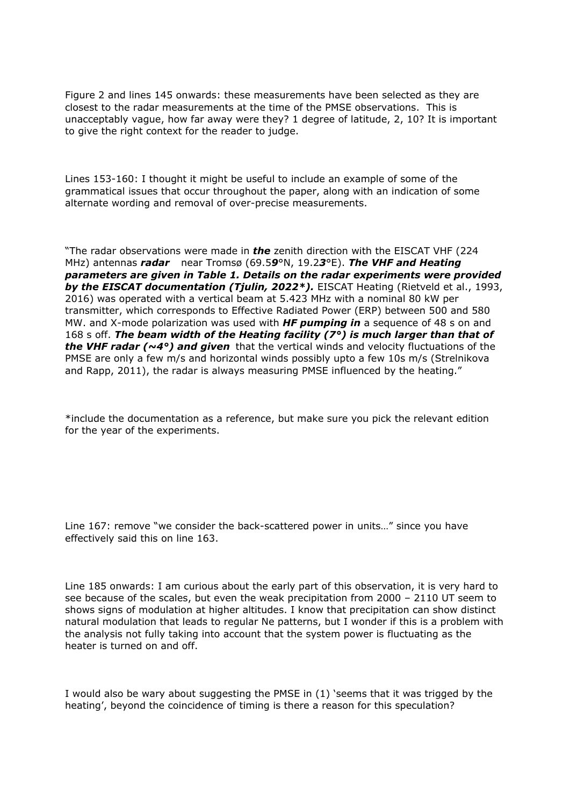Figure 2 and lines 145 onwards: these measurements have been selected as they are closest to the radar measurements at the time of the PMSE observations. This is unacceptably vague, how far away were they? 1 degree of latitude, 2, 10? It is important to give the right context for the reader to judge.

Lines 153-160: I thought it might be useful to include an example of some of the grammatical issues that occur throughout the paper, along with an indication of some alternate wording and removal of over-precise measurements.

"The radar observations were made in *the* zenith direction with the EISCAT VHF (224 MHz) antennas *radar* near Tromsø (69.5*9*°N, 19.2*3*°E). *The VHF and Heating parameters are given in Table 1. Details on the radar experiments were provided by the EISCAT documentation (Tjulin, 2022\*).* EISCAT Heating (Rietveld et al., 1993, 2016) was operated with a vertical beam at 5.423 MHz with a nominal 80 kW per transmitter, which corresponds to Effective Radiated Power (ERP) between 500 and 580 MW. and X-mode polarization was used with *HF pumping in* a sequence of 48 s on and 168 s off. *The beam width of the Heating facility (7°) is much larger than that of the VHF radar (~4°) and given* that the vertical winds and velocity fluctuations of the PMSE are only a few m/s and horizontal winds possibly upto a few 10s m/s (Strelnikova and Rapp, 2011), the radar is always measuring PMSE influenced by the heating."

\*include the documentation as a reference, but make sure you pick the relevant edition for the year of the experiments.

Line 167: remove "we consider the back-scattered power in units…" since you have effectively said this on line 163.

Line 185 onwards: I am curious about the early part of this observation, it is very hard to see because of the scales, but even the weak precipitation from 2000 – 2110 UT seem to shows signs of modulation at higher altitudes. I know that precipitation can show distinct natural modulation that leads to regular Ne patterns, but I wonder if this is a problem with the analysis not fully taking into account that the system power is fluctuating as the heater is turned on and off.

I would also be wary about suggesting the PMSE in (1) 'seems that it was trigged by the heating', beyond the coincidence of timing is there a reason for this speculation?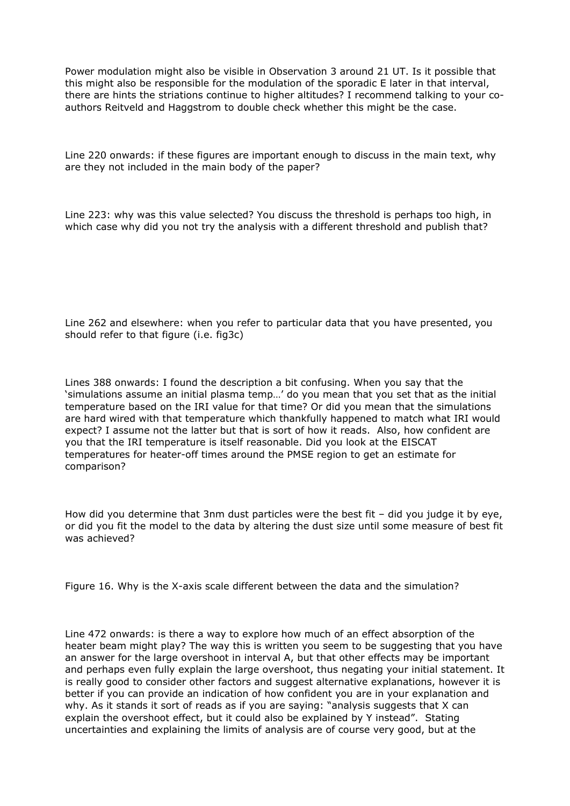Power modulation might also be visible in Observation 3 around 21 UT. Is it possible that this might also be responsible for the modulation of the sporadic E later in that interval, there are hints the striations continue to higher altitudes? I recommend talking to your coauthors Reitveld and Haggstrom to double check whether this might be the case.

Line 220 onwards: if these figures are important enough to discuss in the main text, why are they not included in the main body of the paper?

Line 223: why was this value selected? You discuss the threshold is perhaps too high, in which case why did you not try the analysis with a different threshold and publish that?

Line 262 and elsewhere: when you refer to particular data that you have presented, you should refer to that figure (i.e. fig3c)

Lines 388 onwards: I found the description a bit confusing. When you say that the 'simulations assume an initial plasma temp…' do you mean that you set that as the initial temperature based on the IRI value for that time? Or did you mean that the simulations are hard wired with that temperature which thankfully happened to match what IRI would expect? I assume not the latter but that is sort of how it reads. Also, how confident are you that the IRI temperature is itself reasonable. Did you look at the EISCAT temperatures for heater-off times around the PMSE region to get an estimate for comparison?

How did you determine that 3nm dust particles were the best fit – did you judge it by eye, or did you fit the model to the data by altering the dust size until some measure of best fit was achieved?

Figure 16. Why is the X-axis scale different between the data and the simulation?

Line 472 onwards: is there a way to explore how much of an effect absorption of the heater beam might play? The way this is written you seem to be suggesting that you have an answer for the large overshoot in interval A, but that other effects may be important and perhaps even fully explain the large overshoot, thus negating your initial statement. It is really good to consider other factors and suggest alternative explanations, however it is better if you can provide an indication of how confident you are in your explanation and why. As it stands it sort of reads as if you are saying: "analysis suggests that X can explain the overshoot effect, but it could also be explained by Y instead". Stating uncertainties and explaining the limits of analysis are of course very good, but at the